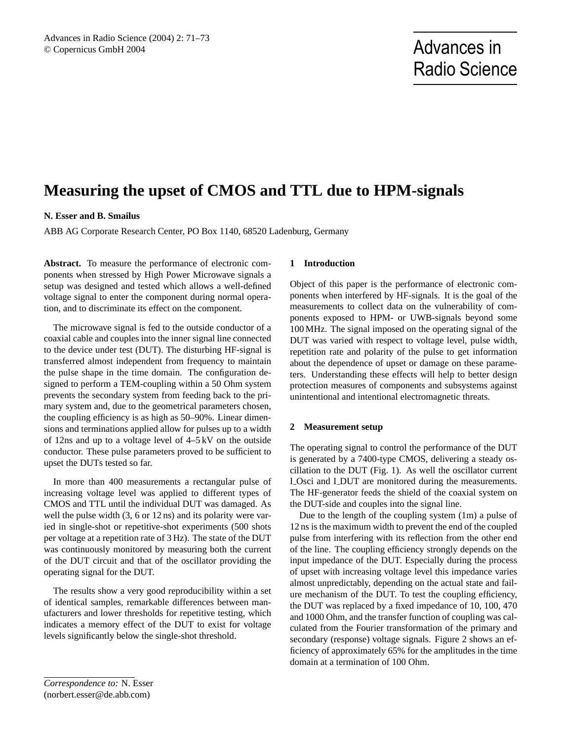# **Measuring the upset of CMOS and TTL due to HPM-signals**

## **N. Esser and B. Smailus**

ABB AG Corporate Research Center, PO Box 1140, 68520 Ladenburg, Germany

**Abstract.** To measure the performance of electronic components when stressed by High Power Microwave signals a setup was designed and tested which allows a well-defined voltage signal to enter the component during normal operation, and to discriminate its effect on the component.

The microwave signal is fed to the outside conductor of a coaxial cable and couples into the inner signal line connected to the device under test (DUT). The disturbing HF-signal is transferred almost independent from frequency to maintain the pulse shape in the time domain. The configuration designed to perform a TEM-coupling within a 50 Ohm system prevents the secondary system from feeding back to the primary system and, due to the geometrical parameters chosen, the coupling efficiency is as high as 50–90%. Linear dimensions and terminations applied allow for pulses up to a width of 12ns and up to a voltage level of 4–5 kV on the outside conductor. These pulse parameters proved to be sufficient to upset the DUTs tested so far.

In more than 400 measurements a rectangular pulse of increasing voltage level was applied to different types of CMOS and TTL until the individual DUT was damaged. As well the pulse width  $(3, 6 \text{ or } 12 \text{ ns})$  and its polarity were varied in single-shot or repetitive-shot experiments (500 shots per voltage at a repetition rate of 3 Hz). The state of the DUT was continuously monitored by measuring both the current of the DUT circuit and that of the oscillator providing the operating signal for the DUT.

The results show a very good reproducibility within a set of identical samples, remarkable differences between manufacturers and lower thresholds for repetitive testing, which indicates a memory effect of the DUT to exist for voltage levels significantly below the single-shot threshold.

#### **1 Introduction**

Object of this paper is the performance of electronic components when interfered by HF-signals. It is the goal of the measurements to collect data on the vulnerability of components exposed to HPM- or UWB-signals beyond some 100 MHz. The signal imposed on the operating signal of the DUT was varied with respect to voltage level, pulse width, repetition rate and polarity of the pulse to get information about the dependence of upset or damage on these parameters. Understanding these effects will help to better design protection measures of components and subsystems against unintentional and intentional electromagnetic threats.

## **2 Measurement setup**

The operating signal to control the performance of the DUT is generated by a 7400-type CMOS, delivering a steady oscillation to the DUT (Fig. 1). As well the oscillator current I Osci and I DUT are monitored during the measurements. The HF-generator feeds the shield of the coaxial system on the DUT-side and couples into the signal line.

Due to the length of the coupling system (1m) a pulse of 12 ns is the maximum width to prevent the end of the coupled pulse from interfering with its reflection from the other end of the line. The coupling efficiency strongly depends on the input impedance of the DUT. Especially during the process of upset with increasing voltage level this impedance varies almost unpredictably, depending on the actual state and failure mechanism of the DUT. To test the coupling efficiency, the DUT was replaced by a fixed impedance of 10, 100, 470 and 1000 Ohm, and the transfer function of coupling was calculated from the Fourier transformation of the primary and secondary (response) voltage signals. Figure 2 shows an efficiency of approximately 65% for the amplitudes in the time domain at a termination of 100 Ohm.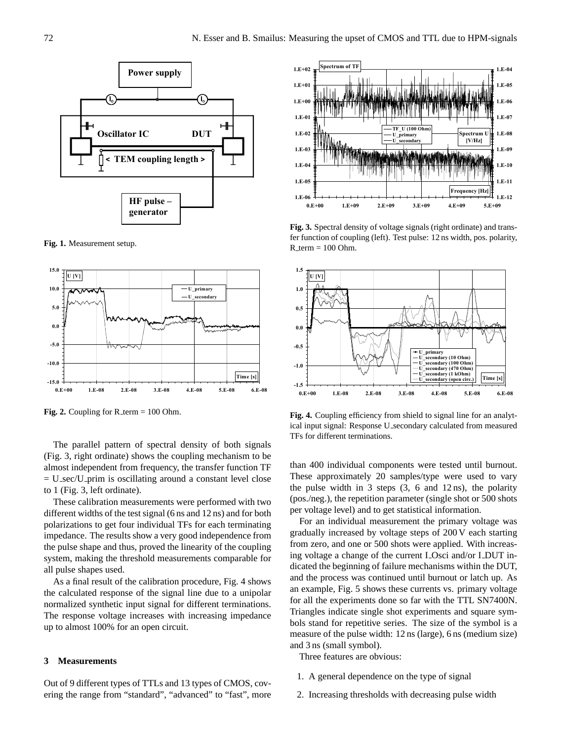

**Fig. 1.** Measurement setup.



**Fig. 2.** Coupling for  $R_{\text{term}} = 100$  Ohm.

The parallel pattern of spectral density of both signals (Fig. 3, right ordinate) shows the coupling mechanism to be almost independent from frequency, the transfer function TF  $= U_s$ sec/U<sub>-</sub>prim is oscillating around a constant level close to 1 (Fig. 3, left ordinate).  $\epsilon$ ignals  $\epsilon$  $R$ esponse  $\Gamma$ secondary calculated from measured TFs for different terminations. The different term in terminations. The different terminations of  $R$ s for different terminations. The different terminations of  $R$ s for d

These calibration measurements were performed with two different widths of the test signal (6 ns and 12 ns) and for both polarizations to get four individual TFs for each terminating impedance. The results show a very good independence from the pulse shape and thus, proved the linearity of the coupling system, making the threshold measurements comparable for all pulse shapes used.

As a final result of the calibration procedure, Fig. 4 shows the calculated response of the signal line due to a unipolar normalized synthetic input signal for different terminations. The response voltage increases with increasing impedance up to almost 100% for an open circuit.

### **3 Measurements**

Out of 9 different types of TTLs and 13 types of CMOS, covering the range from "standard", "advanced" to "fast", more



fer function of coupling (left). Test pulse:  $12 \text{ ns}$  width, pos. polarity,  $R_{\text{term}} = 100 \text{ Ohm}.$ **Fig. 3.** Spectral density of voltage signals (right ordinate) and trans-



**Fig. 4.** Coupling efficiency from shield to signal line for an analytical input signal: Response U secondary calculated from measured TFs for different terminations.

than 400 individual components were tested until burnout. These approximately 20 samples/type were used to vary the pulse width in 3 steps  $(3, 6 \text{ and } 12 \text{ ns})$ , the polarity (pos./neg.), the repetition parameter (single shot or 500 shots per voltage level) and to get statistical information.

For an individual measurement the primary voltage was gradually increased by voltage steps of 200 V each starting from zero, and one or 500 shots were applied. With increasing voltage a change of the current L-Osci and/or L-DUT indicated the beginning of failure mechanisms within the DUT, and the process was continued until burnout or latch up. As an example, Fig. 5 shows these currents vs. primary voltage for all the experiments done so far with the TTL SN7400N. Triangles indicate single shot experiments and square symbols stand for repetitive series. The size of the symbol is a measure of the pulse width: 12 ns (large), 6 ns (medium size) and 3 ns (small symbol).

Three features are obvious:

- 5 1. A general dependence on the type of signal
- 2. Increasing thresholds with decreasing pulse width